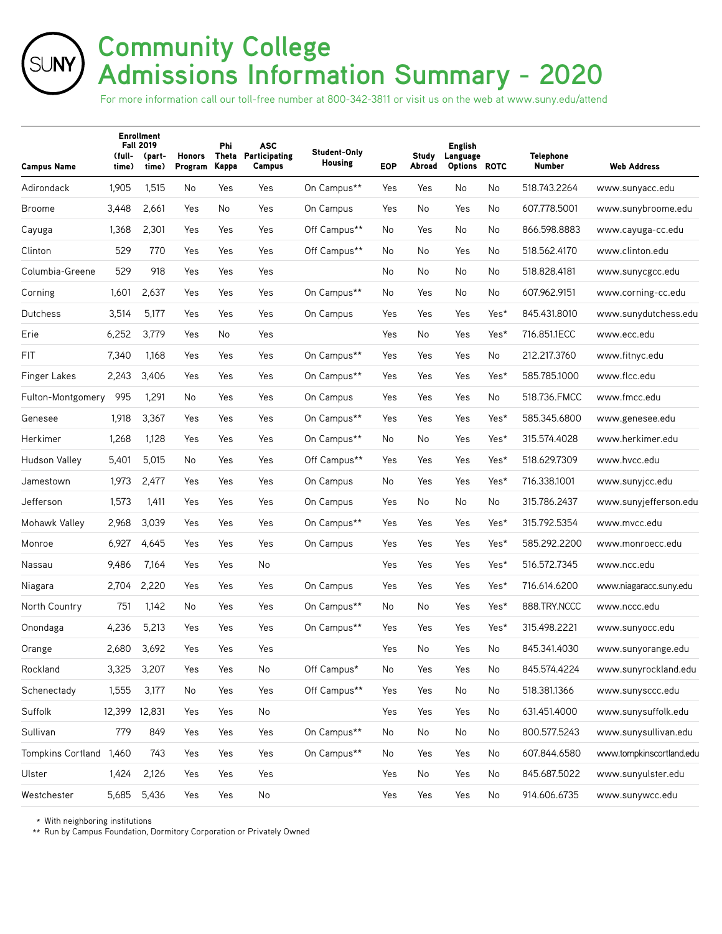# **Community College Admissions Information Summary - 2020**

For more information call our toll-free number at 800-342-3811 or visit us on the web at www.suny.edu/attend

| <b>Campus Name</b>      | (full-<br>time) | <b>Enrollment</b><br><b>Fall 2019</b><br>(part-<br>time) | Honors<br>Program | Phi<br>Theta<br>Kappa | ASC<br>Participating<br>Campus | Student-Only<br><b>Housing</b> | <b>EOP</b> | Study<br>Abroad | <b>English</b><br>Language<br>Options ROTC |      | <b>Telephone</b><br><b>Number</b> | <b>Web Address</b>       |
|-------------------------|-----------------|----------------------------------------------------------|-------------------|-----------------------|--------------------------------|--------------------------------|------------|-----------------|--------------------------------------------|------|-----------------------------------|--------------------------|
| Adirondack              | 1,905           | 1,515                                                    | No                | Yes                   | Yes                            | On Campus**                    | Yes        | Yes             | No                                         | No   | 518.743.2264                      | www.sunyacc.edu          |
| <b>Broome</b>           | 3,448           | 2,661                                                    | Yes               | No                    | Yes                            | On Campus                      | Yes        | No              | Yes                                        | No   | 607.778.5001                      | www.sunybroome.edu       |
| Cayuga                  | 1,368           | 2,301                                                    | Yes               | Yes                   | Yes                            | Off Campus**                   | No         | Yes             | No                                         | No   | 866.598.8883                      | www.cayuga-cc.edu        |
| Clinton                 | 529             | 770                                                      | Yes               | Yes                   | Yes                            | Off Campus**                   | No         | No              | Yes                                        | No   | 518.562.4170                      | www.clinton.edu          |
| Columbia-Greene         | 529             | 918                                                      | Yes               | Yes                   | Yes                            |                                | No.        | No              | No                                         | No   | 518.828.4181                      | www.sunycgcc.edu         |
| Corning                 | 1,601           | 2,637                                                    | Yes               | Yes                   | Yes                            | On Campus**                    | No         | Yes             | No                                         | No   | 607.962.9151                      | www.corning-cc.edu       |
| Dutchess                | 3,514           | 5,177                                                    | Yes               | Yes                   | Yes                            | On Campus                      | Yes        | Yes             | Yes                                        | Yes* | 845.431.8010                      | www.sunydutchess.edu     |
| Erie                    | 6,252           | 3,779                                                    | Yes               | No                    | Yes                            |                                | Yes        | No              | Yes                                        | Yes* | 716.851.1ECC                      | www.ecc.edu              |
| <b>FIT</b>              | 7,340           | 1,168                                                    | Yes               | Yes                   | Yes                            | On Campus**                    | Yes        | Yes             | Yes                                        | No   | 212.217.3760                      | www.fitnyc.edu           |
| <b>Finger Lakes</b>     | 2,243           | 3,406                                                    | Yes               | Yes                   | Yes                            | On Campus**                    | Yes        | Yes             | Yes                                        | Yes* | 585.785.1000                      | www.flcc.edu             |
| Fulton-Montgomery       | 995             | 1,291                                                    | No.               | Yes                   | Yes                            | On Campus                      | Yes        | Yes             | Yes                                        | No   | 518.736.FMCC                      | www.fmcc.edu             |
| Genesee                 | 1,918           | 3,367                                                    | Yes               | Yes                   | Yes                            | On Campus**                    | Yes        | Yes             | Yes                                        | Yes* | 585.345.6800                      | www.genesee.edu          |
| Herkimer                | 1,268           | 1,128                                                    | Yes               | Yes                   | Yes                            | On Campus**                    | No         | No              | Yes                                        | Yes* | 315.574.4028                      | www.herkimer.edu         |
| Hudson Valley           | 5,401           | 5,015                                                    | No                | Yes                   | Yes                            | Off Campus**                   | Yes        | Yes             | Yes                                        | Yes* | 518.629.7309                      | www.hvcc.edu             |
| Jamestown               | 1,973           | 2,477                                                    | Yes               | Yes                   | Yes                            | On Campus                      | No         | Yes             | Yes                                        | Yes* | 716.338.1001                      | www.sunyjcc.edu          |
| Jefferson               | 1,573           | 1,411                                                    | Yes               | Yes                   | Yes                            | On Campus                      | Yes        | No              | No                                         | No   | 315.786.2437                      | www.sunyjefferson.edu    |
| Mohawk Valley           | 2,968           | 3,039                                                    | Yes               | Yes                   | Yes                            | On Campus**                    | Yes        | Yes             | Yes                                        | Yes* | 315.792.5354                      | www.mvcc.edu             |
| Monroe                  | 6,927           | 4,645                                                    | Yes               | Yes                   | Yes                            | On Campus                      | Yes        | Yes             | Yes                                        | Yes* | 585.292.2200                      | www.monroecc.edu         |
| Nassau                  | 9,486           | 7,164                                                    | Yes               | Yes                   | No                             |                                | Yes        | Yes             | Yes                                        | Yes* | 516.572.7345                      | www.ncc.edu              |
| Niagara                 | 2,704           | 2,220                                                    | Yes               | Yes                   | Yes                            | On Campus                      | Yes        | Yes             | Yes                                        | Yes* | 716.614.6200                      | www.niagaracc.suny.edu   |
| North Country           | 751             | 1,142                                                    | No                | Yes                   | Yes                            | On Campus**                    | No         | No              | Yes                                        | Yes* | 888.TRY.NCCC                      | www.nccc.edu             |
| Onondaga                | 4,236           | 5,213                                                    | Yes               | Yes                   | Yes                            | On Campus**                    | Yes        | Yes             | Yes                                        | Yes* | 315.498.2221                      | www.sunyocc.edu          |
| Orange                  | 2,680           | 3,692                                                    | Yes               | Yes                   | Yes                            |                                | Yes        | No              | Yes                                        | No   | 845.341.4030                      | www.sunyorange.edu       |
| Rockland                | 3,325           | 3,207                                                    | Yes               | Yes                   | No                             | Off Campus*                    | No         | Yes             | Yes                                        | No   | 845.574.4224                      | www.sunyrockland.edu     |
| Schenectady             | 1,555           | 3,177                                                    | No                | Yes                   | Yes                            | Off Campus**                   | Yes        | Yes             | No                                         | No   | 518.381.1366                      | www.sunysccc.edu         |
| Suffolk                 | 12,399 12,831   |                                                          | Yes               | Yes                   | No                             |                                | Yes        | Yes             | Yes                                        | No   | 631.451.4000                      | www.sunysuffolk.edu      |
| Sullivan                | 779             | 849                                                      | Yes               | Yes                   | Yes                            | On Campus**                    | No         | No              | No                                         | No   | 800.577.5243                      | www.sunysullivan.edu     |
| Tompkins Cortland 1,460 |                 | 743                                                      | Yes               | Yes                   | Yes                            | On Campus**                    | No         | Yes             | Yes                                        | No   | 607.844.6580                      | www.tompkinscortland.edu |
| Ulster                  | 1,424           | 2,126                                                    | Yes               | Yes                   | Yes                            |                                | Yes        | No              | Yes                                        | No   | 845.687.5022                      | www.sunyulster.edu       |
| Westchester             | 5,685           | 5,436                                                    | Yes               | Yes                   | No                             |                                | Yes        | Yes             | Yes                                        | No   | 914.606.6735                      | www.sunywcc.edu          |

\* With neighboring institutions

SUNY)

\*\* Run by Campus Foundation, Dormitory Corporation or Privately Owned